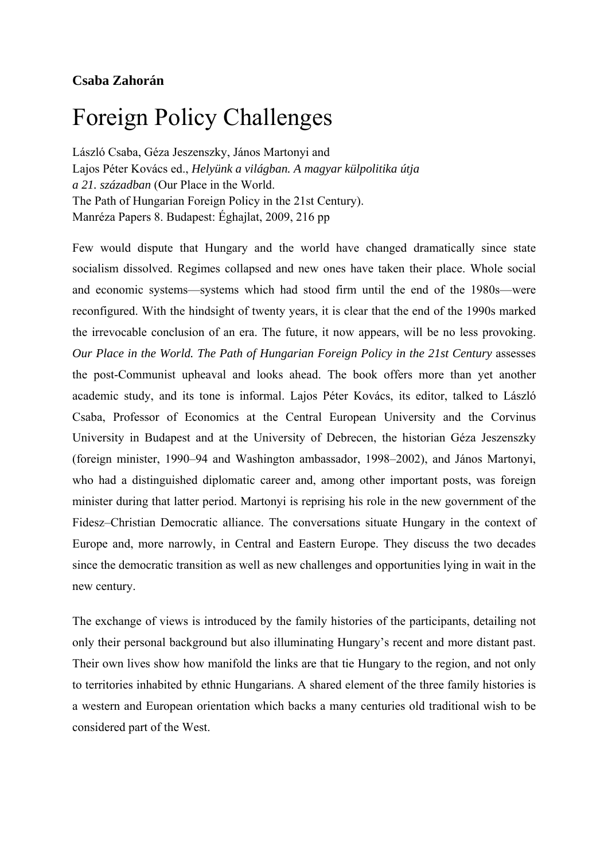## **Csaba Zahorán**

## Foreign Policy Challenges

László Csaba, Géza Jeszenszky, János Martonyi and Lajos Péter Kovács ed., *Helyünk a világban. A magyar külpolitika útja a 21. században* (Our Place in the World. The Path of Hungarian Foreign Policy in the 21st Century). Manréza Papers 8. Budapest: Éghajlat, 2009, 216 pp

Few would dispute that Hungary and the world have changed dramatically since state socialism dissolved. Regimes collapsed and new ones have taken their place. Whole social and economic systems—systems which had stood firm until the end of the 1980s—were reconfigured. With the hindsight of twenty years, it is clear that the end of the 1990s marked the irrevocable conclusion of an era. The future, it now appears, will be no less provoking. *Our Place in the World. The Path of Hungarian Foreign Policy in the 21st Century* assesses the post-Communist upheaval and looks ahead. The book offers more than yet another academic study, and its tone is informal. Lajos Péter Kovács, its editor, talked to László Csaba, Professor of Economics at the Central European University and the Corvinus University in Budapest and at the University of Debrecen, the historian Géza Jeszenszky (foreign minister, 1990–94 and Washington ambassador, 1998–2002), and János Martonyi, who had a distinguished diplomatic career and, among other important posts, was foreign minister during that latter period. Martonyi is reprising his role in the new government of the Fidesz–Christian Democratic alliance. The conversations situate Hungary in the context of Europe and, more narrowly, in Central and Eastern Europe. They discuss the two decades since the democratic transition as well as new challenges and opportunities lying in wait in the new century.

The exchange of views is introduced by the family histories of the participants, detailing not only their personal background but also illuminating Hungary's recent and more distant past. Their own lives show how manifold the links are that tie Hungary to the region, and not only to territories inhabited by ethnic Hungarians. A shared element of the three family histories is a western and European orientation which backs a many centuries old traditional wish to be considered part of the West.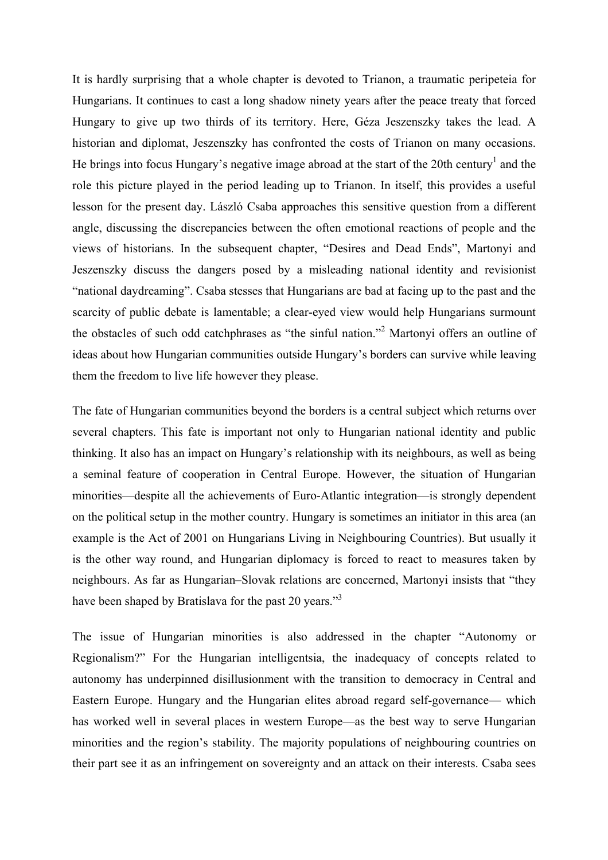It is hardly surprising that a whole chapter is devoted to Trianon, a traumatic peripeteia for Hungarians. It continues to cast a long shadow ninety years after the peace treaty that forced Hungary to give up two thirds of its territory. Here, Géza Jeszenszky takes the lead. A historian and diplomat, Jeszenszky has confronted the costs of Trianon on many occasions. He brings into focus Hungary's negative image abroad at the start of the 20th century<sup>1</sup> and the role this picture played in the period leading up to Trianon. In itself, this provides a useful lesson for the present day. László Csaba approaches this sensitive question from a different angle, discussing the discrepancies between the often emotional reactions of people and the views of historians. In the subsequent chapter, "Desires and Dead Ends", Martonyi and Jeszenszky discuss the dangers posed by a misleading national identity and revisionist "national daydreaming". Csaba stesses that Hungarians are bad at facing up to the past and the scarcity of public debate is lamentable; a clear-eyed view would help Hungarians surmount the obstacles of such odd catchphrases as "the sinful nation."<sup>2</sup> Martonyi offers an outline of ideas about how Hungarian communities outside Hungary's borders can survive while leaving them the freedom to live life however they please.

The fate of Hungarian communities beyond the borders is a central subject which returns over several chapters. This fate is important not only to Hungarian national identity and public thinking. It also has an impact on Hungary's relationship with its neighbours, as well as being a seminal feature of cooperation in Central Europe. However, the situation of Hungarian minorities—despite all the achievements of Euro-Atlantic integration—is strongly dependent on the political setup in the mother country. Hungary is sometimes an initiator in this area (an example is the Act of 2001 on Hungarians Living in Neighbouring Countries). But usually it is the other way round, and Hungarian diplomacy is forced to react to measures taken by neighbours. As far as Hungarian–Slovak relations are concerned, Martonyi insists that "they have been shaped by Bratislava for the past 20 years."<sup>3</sup>

The issue of Hungarian minorities is also addressed in the chapter "Autonomy or Regionalism?" For the Hungarian intelligentsia, the inadequacy of concepts related to autonomy has underpinned disillusionment with the transition to democracy in Central and Eastern Europe. Hungary and the Hungarian elites abroad regard self-governance— which has worked well in several places in western Europe—as the best way to serve Hungarian minorities and the region's stability. The majority populations of neighbouring countries on their part see it as an infringement on sovereignty and an attack on their interests. Csaba sees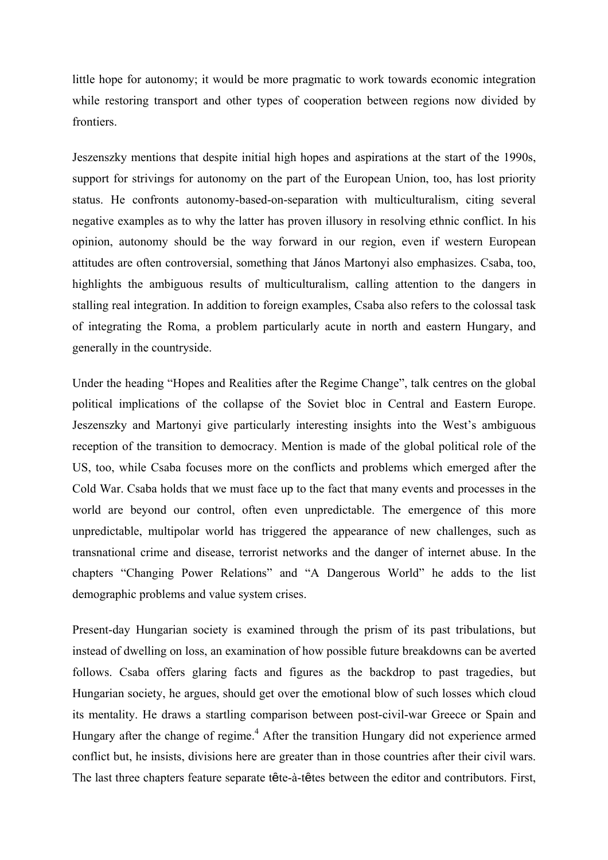little hope for autonomy; it would be more pragmatic to work towards economic integration while restoring transport and other types of cooperation between regions now divided by frontiers.

Jeszenszky mentions that despite initial high hopes and aspirations at the start of the 1990s, support for strivings for autonomy on the part of the European Union, too, has lost priority status. He confronts autonomy-based-on-separation with multiculturalism, citing several negative examples as to why the latter has proven illusory in resolving ethnic conflict. In his opinion, autonomy should be the way forward in our region, even if western European attitudes are often controversial, something that János Martonyi also emphasizes. Csaba, too, highlights the ambiguous results of multiculturalism, calling attention to the dangers in stalling real integration. In addition to foreign examples, Csaba also refers to the colossal task of integrating the Roma, a problem particularly acute in north and eastern Hungary, and generally in the countryside.

Under the heading "Hopes and Realities after the Regime Change", talk centres on the global political implications of the collapse of the Soviet bloc in Central and Eastern Europe. Jeszenszky and Martonyi give particularly interesting insights into the West's ambiguous reception of the transition to democracy. Mention is made of the global political role of the US, too, while Csaba focuses more on the conflicts and problems which emerged after the Cold War. Csaba holds that we must face up to the fact that many events and processes in the world are beyond our control, often even unpredictable. The emergence of this more unpredictable, multipolar world has triggered the appearance of new challenges, such as transnational crime and disease, terrorist networks and the danger of internet abuse. In the chapters "Changing Power Relations" and "A Dangerous World" he adds to the list demographic problems and value system crises.

Present-day Hungarian society is examined through the prism of its past tribulations, but instead of dwelling on loss, an examination of how possible future breakdowns can be averted follows. Csaba offers glaring facts and figures as the backdrop to past tragedies, but Hungarian society, he argues, should get over the emotional blow of such losses which cloud its mentality. He draws a startling comparison between post-civil-war Greece or Spain and Hungary after the change of regime.<sup>4</sup> After the transition Hungary did not experience armed conflict but, he insists, divisions here are greater than in those countries after their civil wars. The last three chapters feature separate tête-à-têtes between the editor and contributors. First,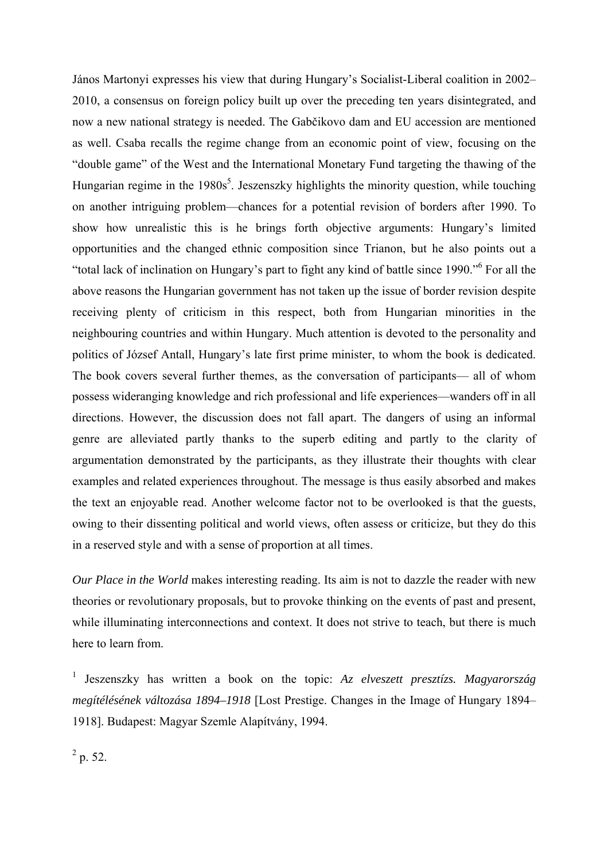János Martonyi expresses his view that during Hungary's Socialist-Liberal coalition in 2002– 2010, a consensus on foreign policy built up over the preceding ten years disintegrated, and now a new national strategy is needed. The Gabčikovo dam and EU accession are mentioned as well. Csaba recalls the regime change from an economic point of view, focusing on the "double game" of the West and the International Monetary Fund targeting the thawing of the Hungarian regime in the 1980s<sup>5</sup>. Jeszenszky highlights the minority question, while touching on another intriguing problem—chances for a potential revision of borders after 1990. To show how unrealistic this is he brings forth objective arguments: Hungary's limited opportunities and the changed ethnic composition since Trianon, but he also points out a "total lack of inclination on Hungary's part to fight any kind of battle since 1990."6 For all the above reasons the Hungarian government has not taken up the issue of border revision despite receiving plenty of criticism in this respect, both from Hungarian minorities in the neighbouring countries and within Hungary. Much attention is devoted to the personality and politics of József Antall, Hungary's late first prime minister, to whom the book is dedicated. The book covers several further themes, as the conversation of participants— all of whom possess wideranging knowledge and rich professional and life experiences—wanders off in all directions. However, the discussion does not fall apart. The dangers of using an informal genre are alleviated partly thanks to the superb editing and partly to the clarity of argumentation demonstrated by the participants, as they illustrate their thoughts with clear examples and related experiences throughout. The message is thus easily absorbed and makes the text an enjoyable read. Another welcome factor not to be overlooked is that the guests, owing to their dissenting political and world views, often assess or criticize, but they do this in a reserved style and with a sense of proportion at all times.

*Our Place in the World* makes interesting reading. Its aim is not to dazzle the reader with new theories or revolutionary proposals, but to provoke thinking on the events of past and present, while illuminating interconnections and context. It does not strive to teach, but there is much here to learn from.

1 Jeszenszky has written a book on the topic: *Az elveszett presztízs. Magyarország megítélésének változása 1894–1918* [Lost Prestige. Changes in the Image of Hungary 1894– 1918]. Budapest: Magyar Szemle Alapítvány, 1994.

 $^{2}$  p. 52.